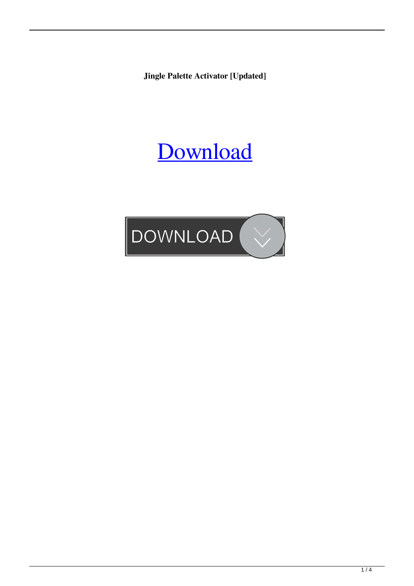**Jingle Palette Activator [Updated]**

# [Download](http://evacdir.com/palix/ZG93bmxvYWR8cXMzTTJveE5YeDhNVFkxTkRRek5qWTFPSHg4TWpVNU1IeDhLRTBwSUZkdmNtUndjbVZ6Y3lCYldFMU1VbEJESUZZeUlGQkVSbDA/fountainhead.inhibitors.moreover.consecrating.philodendron/SmluZ2xlIFBhbGV0dGUSml)

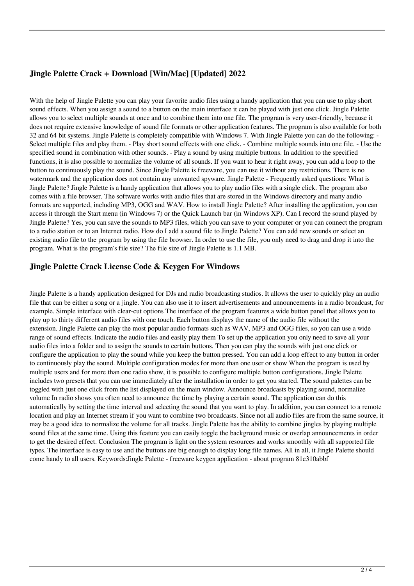# **Jingle Palette Crack + Download [Win/Mac] [Updated] 2022**

With the help of Jingle Palette you can play your favorite audio files using a handy application that you can use to play short sound effects. When you assign a sound to a button on the main interface it can be played with just one click. Jingle Palette allows you to select multiple sounds at once and to combine them into one file. The program is very user-friendly, because it does not require extensive knowledge of sound file formats or other application features. The program is also available for both 32 and 64 bit systems. Jingle Palette is completely compatible with Windows 7. With Jingle Palette you can do the following: - Select multiple files and play them. - Play short sound effects with one click. - Combine multiple sounds into one file. - Use the specified sound in combination with other sounds. - Play a sound by using multiple buttons. In addition to the specified functions, it is also possible to normalize the volume of all sounds. If you want to hear it right away, you can add a loop to the button to continuously play the sound. Since Jingle Palette is freeware, you can use it without any restrictions. There is no watermark and the application does not contain any unwanted spyware. Jingle Palette - Frequently asked questions: What is Jingle Palette? Jingle Palette is a handy application that allows you to play audio files with a single click. The program also comes with a file browser. The software works with audio files that are stored in the Windows directory and many audio formats are supported, including MP3, OGG and WAV. How to install Jingle Palette? After installing the application, you can access it through the Start menu (in Windows 7) or the Quick Launch bar (in Windows XP). Can I record the sound played by Jingle Palette? Yes, you can save the sounds to MP3 files, which you can save to your computer or you can connect the program to a radio station or to an Internet radio. How do I add a sound file to Jingle Palette? You can add new sounds or select an existing audio file to the program by using the file browser. In order to use the file, you only need to drag and drop it into the program. What is the program's file size? The file size of Jingle Palette is 1.1 MB.

#### **Jingle Palette Crack License Code & Keygen For Windows**

Jingle Palette is a handy application designed for DJs and radio broadcasting studios. It allows the user to quickly play an audio file that can be either a song or a jingle. You can also use it to insert advertisements and announcements in a radio broadcast, for example. Simple interface with clear-cut options The interface of the program features a wide button panel that allows you to play up to thirty different audio files with one touch. Each button displays the name of the audio file without the extension. Jingle Palette can play the most popular audio formats such as WAV, MP3 and OGG files, so you can use a wide range of sound effects. Indicate the audio files and easily play them To set up the application you only need to save all your audio files into a folder and to assign the sounds to certain buttons. Then you can play the sounds with just one click or configure the application to play the sound while you keep the button pressed. You can add a loop effect to any button in order to continuously play the sound. Multiple configuration modes for more than one user or show When the program is used by multiple users and for more than one radio show, it is possible to configure multiple button configurations. Jingle Palette includes two presets that you can use immediately after the installation in order to get you started. The sound palettes can be toggled with just one click from the list displayed on the main window. Announce broadcasts by playing sound, normalize volume In radio shows you often need to announce the time by playing a certain sound. The application can do this automatically by setting the time interval and selecting the sound that you want to play. In addition, you can connect to a remote location and play an Internet stream if you want to combine two broadcasts. Since not all audio files are from the same source, it may be a good idea to normalize the volume for all tracks. Jingle Palette has the ability to combine jingles by playing multiple sound files at the same time. Using this feature you can easily toggle the background music or overlap announcements in order to get the desired effect. Conclusion The program is light on the system resources and works smoothly with all supported file types. The interface is easy to use and the buttons are big enough to display long file names. All in all, it Jingle Palette should come handy to all users. Keywords:Jingle Palette - freeware keygen application - about program 81e310abbf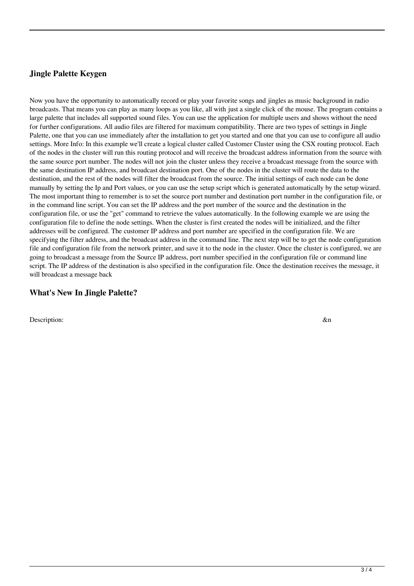### **Jingle Palette Keygen**

Now you have the opportunity to automatically record or play your favorite songs and jingles as music background in radio broadcasts. That means you can play as many loops as you like, all with just a single click of the mouse. The program contains a large palette that includes all supported sound files. You can use the application for multiple users and shows without the need for further configurations. All audio files are filtered for maximum compatibility. There are two types of settings in Jingle Palette, one that you can use immediately after the installation to get you started and one that you can use to configure all audio settings. More Info: In this example we'll create a logical cluster called Customer Cluster using the CSX routing protocol. Each of the nodes in the cluster will run this routing protocol and will receive the broadcast address information from the source with the same source port number. The nodes will not join the cluster unless they receive a broadcast message from the source with the same destination IP address, and broadcast destination port. One of the nodes in the cluster will route the data to the destination, and the rest of the nodes will filter the broadcast from the source. The initial settings of each node can be done manually by setting the Ip and Port values, or you can use the setup script which is generated automatically by the setup wizard. The most important thing to remember is to set the source port number and destination port number in the configuration file, or in the command line script. You can set the IP address and the port number of the source and the destination in the configuration file, or use the "get" command to retrieve the values automatically. In the following example we are using the configuration file to define the node settings. When the cluster is first created the nodes will be initialized, and the filter addresses will be configured. The customer IP address and port number are specified in the configuration file. We are specifying the filter address, and the broadcast address in the command line. The next step will be to get the node configuration file and configuration file from the network printer, and save it to the node in the cluster. Once the cluster is configured, we are going to broadcast a message from the Source IP address, port number specified in the configuration file or command line script. The IP address of the destination is also specified in the configuration file. Once the destination receives the message, it will broadcast a message back

#### **What's New In Jingle Palette?**

Description:  $\&$ n